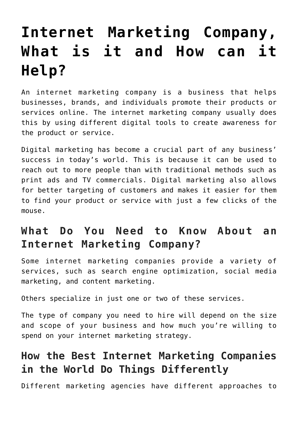# **[Internet Marketing Company,](https://www.earnmoneyke.com/digital-marketing/__trashed-2/) [What is it and How can it](https://www.earnmoneyke.com/digital-marketing/__trashed-2/) [Help?](https://www.earnmoneyke.com/digital-marketing/__trashed-2/)**

An internet marketing company is a business that helps businesses, brands, and individuals promote their products or services online. The internet marketing company usually does this by using different digital tools to create awareness for the product or service.

Digital marketing has become a crucial part of any business' success in today's world. This is because it can be used to reach out to more people than with traditional methods such as print ads and TV commercials. Digital marketing also allows for better targeting of customers and makes it easier for them to find your product or service with just a few clicks of the mouse.

## **What Do You Need to Know About an Internet Marketing Company?**

Some internet marketing companies provide a variety of services, such as search engine optimization, social media marketing, and content marketing.

Others specialize in just one or two of these services.

The type of company you need to hire will depend on the size and scope of your business and how much you're willing to spend on your internet marketing strategy.

## **How the Best Internet Marketing Companies in the World Do Things Differently**

Different marketing agencies have different approaches to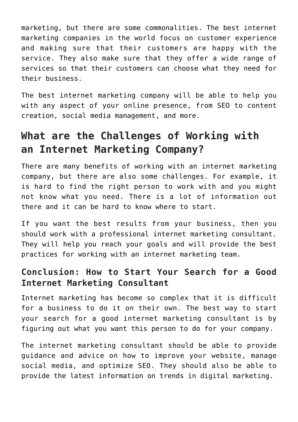marketing, but there are some commonalities. The best internet marketing companies in the world focus on customer experience and making sure that their customers are happy with the service. They also make sure that they offer a wide range of services so that their customers can choose what they need for their business.

The best internet marketing company will be able to help you with any aspect of your online presence, from SEO to content creation, social media management, and more.

#### **What are the Challenges of Working with an Internet Marketing Company?**

There are many benefits of working with an internet marketing company, but there are also some challenges. For example, it is hard to find the right person to work with and you might not know what you need. There is a lot of information out there and it can be hard to know where to start.

If you want the best results from your business, then you should work with a professional internet marketing consultant. They will help you reach your goals and will provide the best practices for working with an internet marketing team.

#### **Conclusion: How to Start Your Search for a Good Internet Marketing Consultant**

Internet marketing has become so complex that it is difficult for a business to do it on their own. The best way to start your search for a good internet marketing consultant is by figuring out what you want this person to do for your company.

The internet marketing consultant should be able to provide guidance and advice on how to improve your website, manage social media, and optimize SEO. They should also be able to provide the latest information on trends in digital marketing.